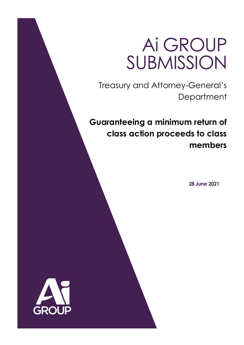# Ai GROUP SUBMISSION

Treasury and Attorney-General's **Department** 

**Guaranteeing a minimum return of class action proceeds to class members**

 **28 June 2021**

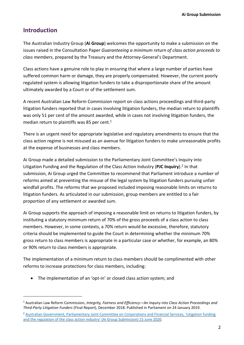## **Introduction**

The Australian Industry Group (**Ai Group**) welcomes the opportunity to make a submission on the issues raised in the Consultation Paper *Guaranteeing a minimum return of class action proceeds to class members*, prepared by the Treasury and the Attorney-General's Department.

Class actions have a genuine role to play in ensuring that where a large number of parties have suffered common harm or damage, they are properly compensated. However, the current poorly regulated system is allowing litigation funders to take a disproportionate share of the amount ultimately awarded by a Court or of the settlement sum.

A recent Australian Law Reform Commission report on class actions proceedings and third-party litigation funders reported that in cases involving litigation funders, the median return to plaintiffs was only 51 per cent of the amount awarded, while in cases not involving litigation funders, the median return to plaintiffs was 85 per cent. $1$ 

There is an urgent need for appropriate legislative and regulatory amendments to ensure that the class action regime is not misused as an avenue for litigation funders to make unreasonable profits at the expense of businesses and class members.

Ai Group made a detailed submission to the Parliamentary Joint Committee's Inquiry into Litigation Funding and the Regulation of the Class Action Industry (**PJC Inquiry**). 2 In that submission, Ai Group urged the Committee to recommend that Parliament introduce a number of reforms aimed at preventing the misuse of the legal system by litigation funders pursuing unfair windfall profits. The reforms that we proposed included imposing reasonable limits on returns to litigation funders. As articulated in our submission, group members are entitled to a fair proportion of any settlement or awarded sum.

Ai Group supports the approach of imposing a reasonable limit on returns to litigation funders, by instituting a statutory minimum return of 70% of the gross proceeds of a class action to class members. However, in some contexts, a 70% return would be excessive, therefore, statutory criteria should be implemented to guide the Court in determining whether the minimum 70% gross return to class members is appropriate in a particular case or whether, for example, an 80% or 90% return to class members is appropriate.

The implementation of a minimum return to class members should be complimented with other reforms to increase protections for class members, including:

• The implementation of an 'opt-in' or closed class action system; and

<sup>1</sup> Australian Law Reform Commission, *Integrity, Fairness and Efficiency—An Inquiry into Class Action Proceedings and Third-Party Litigation Funders* (Final Report), December 2018. Published in Parliament on 24 January 2019.

<sup>2</sup> Australian Government, [Parliamentary](https://www.aph.gov.au/DocumentStore.ashx?id=16480490-4fa1-464b-958e-28ab4b28f964&subId=685703) Joint Committee on Corporations and Financial Services, 'Litigation funding and the regulation of the class action industry' (Ai Group [Submission\)](https://www.aph.gov.au/DocumentStore.ashx?id=16480490-4fa1-464b-958e-28ab4b28f964&subId=685703) 15 June 2020.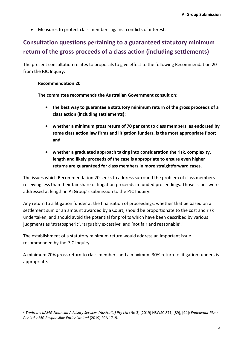• Measures to protect class members against conflicts of interest.

# **Consultation questions pertaining to a guaranteed statutory minimum return of the gross proceeds of a class action (including settlements)**

The present consultation relates to proposals to give effect to the following Recommendation 20 from the PJC Inquiry:

## **Recommendation 20**

**The committee recommends the Australian Government consult on:**

- **the best way to guarantee a statutory minimum return of the gross proceeds of a class action (including settlements);**
- **whether a minimum gross return of 70 per cent to class members, as endorsed by some class action law firms and litigation funders, is the most appropriate floor; and**
- **whether a graduated approach taking into consideration the risk, complexity, length and likely proceeds of the case is appropriate to ensure even higher returns are guaranteed for class members in more straightforward cases.**

The issues which Recommendation 20 seeks to address surround the problem of class members receiving less than their fair share of litigation proceeds in funded proceedings. Those issues were addressed at length in Ai Group's submission to the PJC Inquiry.

Any return to a litigation funder at the finalisation of proceedings, whether that be based on a settlement sum or an amount awarded by a Court, should be proportionate to the cost and risk undertaken, and should avoid the potential for profits which have been described by various judgments as 'stratospheric', 'arguably excessive' and 'not fair and reasonable'.<sup>3</sup>

The establishment of a statutory minimum return would address an important issue recommended by the PJC Inquiry.

A minimum 70% gross return to class members and a maximum 30% return to litigation funders is appropriate.

<sup>3</sup> *Tredrea v KPMG Financial Advisory Services (Australia) Pty Ltd* (No 3) [2019] NSWSC 871, [89], [94]; *Endeavour River Pty Ltd v MG Responsible Entity Limited* [2019] FCA 1719.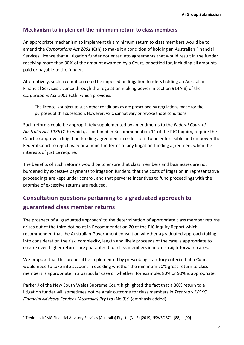## **Mechanism to implement the minimum return to class members**

An appropriate mechanism to implement this minimum return to class members would be to amend the *Corporations Act 2001* (Cth) to make it a condition of holding an Australian Financial Services Licence that a litigation funder not enter into agreements that would result in the funder receiving more than 30% of the amount awarded by a Court, or settled for, including all amounts paid or payable to the funder.

Alternatively, such a condition could be imposed on litigation funders holding an Australian Financial Services Licence through the regulation making power in section 914A(8) of the *Corporations Act 2001* (Cth) which provides:

The licence is subject to such other conditions as are prescribed by regulations made for the purposes of this subsection. However, ASIC cannot vary or revoke those conditions.

Such reforms could be appropriately supplemented by amendments to the *Federal Court of Australia Act 1976* (Cth) which, as outlined in Recommendation 11 of the PJC Inquiry, require the Court to approve a litigation funding agreement in order for it to be enforceable and empower the Federal Court to reject, vary or amend the terms of any litigation funding agreement when the interests of justice require.

The benefits of such reforms would be to ensure that class members and businesses are not burdened by excessive payments to litigation funders, that the costs of litigation in representative proceedings are kept under control, and that perverse incentives to fund proceedings with the promise of excessive returns are reduced.

# **Consultation questions pertaining to a graduated approach to guaranteed class member returns**

The prospect of a 'graduated approach' to the determination of appropriate class member returns arises out of the third dot point in Recommendation 20 of the PJC Inquiry Report which recommended that the Australian Government consult on whether a graduated approach taking into consideration the risk, complexity, length and likely proceeds of the case is appropriate to ensure even higher returns are guaranteed for class members in more straightforward cases.

We propose that this proposal be implemented by prescribing statutory criteria that a Court would need to take into account in deciding whether the minimum 70% gross return to class members is appropriate in a particular case or whether, for example, 80% or 90% is appropriate.

Parker J of the New South Wales Supreme Court highlighted the fact that a 30% return to a litigation funder will sometimes not be a fair outcome for class members in *Tredrea v KPMG Financial Advisory Services (Australia) Pty Ltd* (No 3):<sup>4</sup> (emphasis added)

<sup>4</sup> Tredrea v KPMG Financial Advisory Services (Australia) Pty Ltd (No 3) [2019] NSWSC 871, [88] – [90].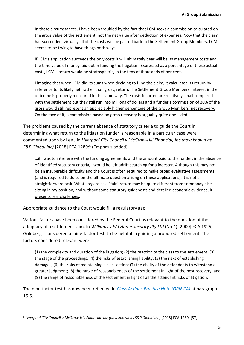In these circumstances, I have been troubled by the fact that LCM seeks a commission calculated on the gross value of the settlement, not the net value after deduction of expenses. Now that the claim has succeeded, virtually all of the costs will be passed back to the Settlement Group Members. LCM seems to be trying to have things both ways.

If LCM's application succeeds the only costs it will ultimately bear will be its management costs and the time value of money laid out in funding the litigation. Expressed as a percentage of these actual costs, LCM's return would be stratospheric, in the tens of thousands of per cent.

I imagine that when LCM did its sums when deciding to fund the claim, it calculated its return by reference to its likely net, rather than gross, return. The Settlement Group Members' interest in the outcome is properly measured in the same way. The costs incurred are relatively small compared with the settlement but they still run into millions of dollars and a funder's commission of 30% of the gross would still represent an appreciably higher percentage of the Group Members' net recovery. On the face of it, a commission based on gross recovery is arguably quite one-sided…

The problems caused by the current absence of statutory criteria to guide the Court in determining what return to the litigation funder is reasonable in a particular case were commented upon by Lee J in *Liverpool City Council v McGraw-Hill Financial, Inc (now known as S&P Global Inc)* [2018] FCA 1289:<sup>5</sup> (Emphasis added)

…if I was to interfere with the funding agreements and the amount paid to the funder, in the absence of identified statutory criteria, I would be left adrift searching for a lodestar. Although this may not be an insuperable difficulty and the Court is often required to make broad evaluative assessments (and is required to do so on the ultimate question arising on these applications), it is not a straightforward task. What I regard as a "fair" return may be quite different from somebody else sitting in my position, and without some statutory guideposts and detailed economic evidence, it presents real challenges.

Appropriate guidance to the Court would fill a regulatory gap.

Various factors have been considered by the Federal Court as relevant to the question of the adequacy of a settlement sum. In *Williams v FAI Home Security Pty Ltd* (No 4) [2000] FCA 1925, Goldberg J considered a 'nine-factor test' to be helpful in guiding a proposed settlement. The factors considered relevant were:

(1) the complexity and duration of the litigation; (2) the reaction of the class to the settlement; (3) the stage of the proceedings; (4) the risks of establishing liability; (5) the risks of establishing damages; (6) the risks of maintaining a class action; (7) the ability of the defendants to withstand a greater judgment; (8) the range of reasonableness of the settlement in light of the best recovery; and (9) the range of reasonableness of the settlement in light of all the attendant risks of litigation.

The nine-factor test has now been reflected in *Class Actions Practice Note [\(GPN-CA\)](https://www.fedcourt.gov.au/law-and-practice/practice-documents/practice-notes/gpn-ca)* at paragraph 15.5.

<sup>5</sup> *Liverpool City Council v McGraw-Hill Financial, Inc (now known as S&P Global Inc)* [2018] FCA 1289, [57].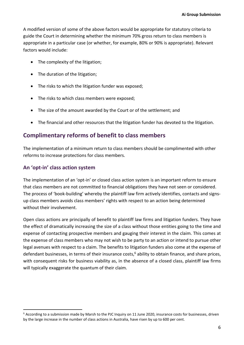A modified version of some of the above factors would be appropriate for statutory criteria to guide the Court in determining whether the minimum 70% gross return to class members is appropriate in a particular case (or whether, for example, 80% or 90% is appropriate). Relevant factors would include:

- The complexity of the litigation;
- The duration of the litigation;
- The risks to which the litigation funder was exposed;
- The risks to which class members were exposed;
- The size of the amount awarded by the Court or of the settlement; and
- The financial and other resources that the litigation funder has devoted to the litigation.

## **Complimentary reforms of benefit to class members**

The implementation of a minimum return to class members should be complimented with other reforms to increase protections for class members.

## **An 'opt-in' class action system**

The implementation of an 'opt-in' or closed class action system is an important reform to ensure that class members are not committed to financial obligations they have not seen or considered. The process of 'book-building' whereby the plaintiff law firm actively identifies, contacts and signsup class members avoids class members' rights with respect to an action being determined without their involvement.

Open class actions are principally of benefit to plaintiff law firms and litigation funders. They have the effect of dramatically increasing the size of a class without those entities going to the time and expense of contacting prospective members and gauging their interest in the claim. This comes at the expense of class members who may not wish to be party to an action or intend to pursue other legal avenues with respect to a claim. The benefits to litigation funders also come at the expense of defendant businesses, in terms of their insurance costs,<sup>6</sup> ability to obtain finance, and share prices, with consequent risks for business viability as, in the absence of a closed class, plaintiff law firms will typically exaggerate the quantum of their claim.

<sup>6</sup> According to a submission made by Marsh to the PJC Inquiry on 11 June 2020, insurance costs for businesses, driven by the large increase in the number of class actions in Australia, have risen by up to 600 per cent.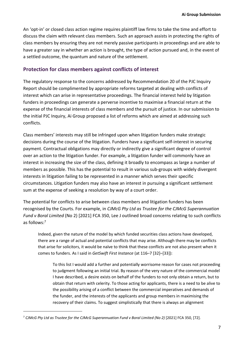An 'opt-in' or closed class action regime requires plaintiff law firms to take the time and effort to discuss the claim with relevant class members. Such an approach assists in protecting the rights of class members by ensuring they are not merely passive participants in proceedings and are able to have a greater say in whether an action is brought, the type of action pursued and, in the event of a settled outcome, the quantum and nature of the settlement.

## **Protection for class members against conflicts of interest**

The regulatory response to the concerns addressed by Recommendation 20 of the PJC Inquiry Report should be complimented by appropriate reforms targeted at dealing with conflicts of interest which can arise in representative proceedings. The financial interest held by litigation funders in proceedings can generate a perverse incentive to maximise a financial return at the expense of the financial interests of class members and the pursuit of justice. In our submission to the initial PJC Inquiry, Ai Group proposed a list of reforms which are aimed at addressing such conflicts.

Class members' interests may still be infringed upon when litigation funders make strategic decisions during the course of the litigation. Funders have a significant self-interest in securing payment. Contractual obligations may directly or indirectly give a significant degree of control over an action to the litigation funder. For example, a litigation funder will commonly have an interest in increasing the size of the class, defining it broadly to encompass as large a number of members as possible. This has the potential to result in various sub-groups with widely divergent interests in litigation failing to be represented in a manner which serves their specific circumstances. Litigation funders may also have an interest in pursuing a significant settlement sum at the expense of seeking a resolution by way of a court order.

The potential for conflicts to arise between class members and litigation funders has been recognised by the Courts. For example, in *CJMcG Pty Ltd as Trustee for the CJMcG Superannuation Fund v Boral Limited* (No 2) [2021] FCA 350, Lee J outlined broad concerns relating to such conflicts as follows:<sup>7</sup>

Indeed, given the nature of the model by which funded securities class actions have developed, there are a range of actual and potential conflicts that may arise. Although there may be conflicts that arise for solicitors, it would be naïve to think that these conflicts are not also present when it comes to funders. As I said in *GetSwift First Instance* (at 116–7 [32]–[33]):

To this list I would add a further and potentially worrisome reason for cases not proceeding to judgment following an initial trial. By reason of the very nature of the commercial model I have described, a desire exists on behalf of the funders to not only obtain a return, but to obtain that return with celerity. To those acting for applicants, there is a need to be alive to the possibility arising of a conflict between the commercial imperatives and demands of the funder, and the interests of the applicants and group members in maximising the recovery of their claims. To suggest simplistically that there is always an alignment

<sup>7</sup> *CJMcG Pty Ltd as Trustee for the CJMcG Superannuation Fund v Boral Limited (No 2)* [2021] FCA 350, [72].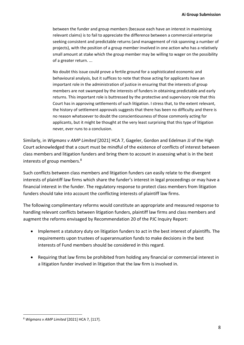between the funder and group members (because each have an interest in maximising relevant claims) is to fail to appreciate the difference between a commercial enterprise seeking consistent and predictable returns (and management of risk spanning a number of projects), with the position of a group member involved in one action who has a relatively small amount at stake which the group member may be willing to wager on the possibility of a greater return. ...

No doubt this issue could prove a fertile ground for a sophisticated economic and behavioural analysis, but it suffices to note that those acting for applicants have an important role in the administration of justice in ensuring that the interests of group members are not swamped by the interests of funders in obtaining predictable and early returns. This important role is buttressed by the protective and supervisory role that this Court has in approving settlements of such litigation. I stress that, to the extent relevant, the history of settlement approvals suggests that there has been no difficulty and there is no reason whatsoever to doubt the conscientiousness of those commonly acting for applicants, but it might be thought at the very least surprising that this type of litigation never, ever runs to a conclusion.

Similarly, in *Wigmans v AMP Limited* [2021] HCA 7, Gageler, Gordon and Edelman JJ of the High Court acknowledged that a court must be mindful of the existence of conflicts of interest between class members and litigation funders and bring them to account in assessing what is in the best interests of group members.<sup>8</sup>

Such conflicts between class members and litigation funders can easily relate to the divergent interests of plaintiff law firms which share the funder's interest in legal proceedings or may have a financial interest in the funder. The regulatory response to protect class members from litigation funders should take into account the conflicting interests of plaintiff law firms.

The following complimentary reforms would constitute an appropriate and measured response to handling relevant conflicts between litigation funders, plaintiff law firms and class members and augment the reforms envisaged by Recommendation 20 of the PJC Inquiry Report:

- Implement a statutory duty on litigation funders to act in the best interest of plaintiffs. The requirements upon trustees of superannuation funds to make decisions in the best interests of Fund members should be considered in this regard.
- Requiring that law firms be prohibited from holding any financial or commercial interest in a litigation funder involved in litigation that the law firm is involved in.

<sup>8</sup> *Wigmans v AMP Limited* [2021] HCA 7, [117].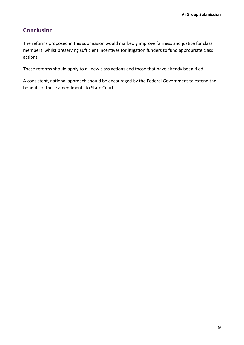# **Conclusion**

The reforms proposed in this submission would markedly improve fairness and justice for class members, whilst preserving sufficient incentives for litigation funders to fund appropriate class actions.

These reforms should apply to all new class actions and those that have already been filed.

A consistent, national approach should be encouraged by the Federal Government to extend the benefits of these amendments to State Courts.